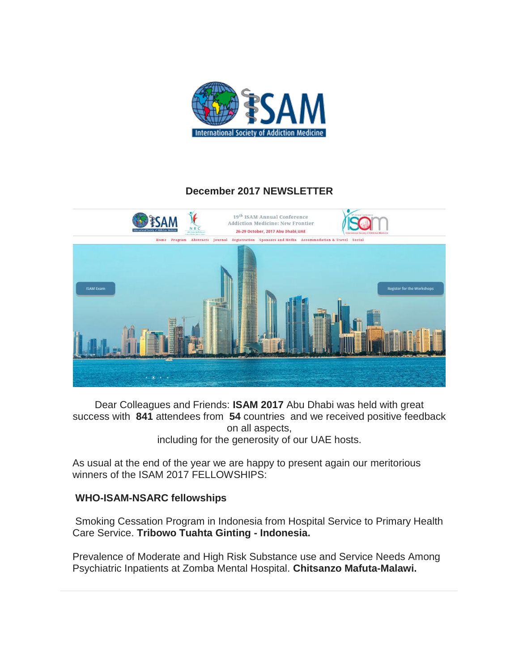

## **December 2017 NEWSLETTER**



Dear Colleagues and Friends: **ISAM 2017** Abu Dhabi was held with great success with **841** attendees from **54** countries and we received positive feedback on all aspects,

including for the generosity of our UAE hosts.

As usual at the end of the year we are happy to present again our meritorious winners of the ISAM 2017 FELLOWSHIPS:

### **WHO-ISAM-NSARC fellowships**

Smoking Cessation Program in Indonesia from Hospital Service to Primary Health Care Service. **Tribowo Tuahta Ginting - Indonesia.**

Prevalence of Moderate and High Risk Substance use and Service Needs Among Psychiatric Inpatients at Zomba Mental Hospital. **Chitsanzo Mafuta-Malawi.**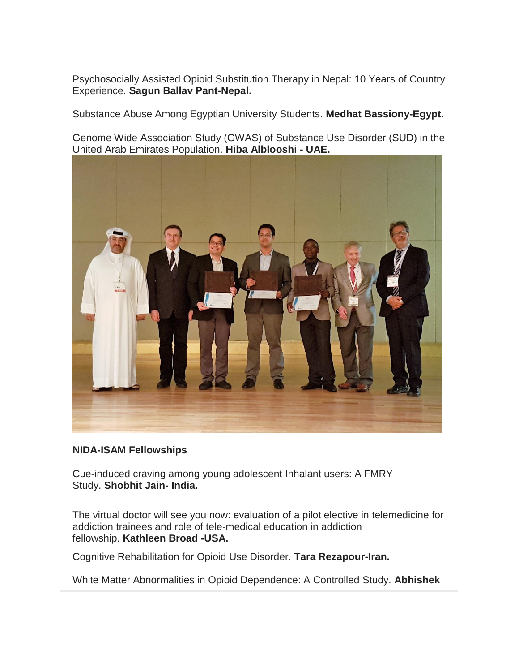Psychosocially Assisted Opioid Substitution Therapy in Nepal: 10 Years of Country Experience. **Sagun Ballav Pant-Nepal.**

Substance Abuse Among Egyptian University Students. **Medhat Bassiony-Egypt.**

Genome Wide Association Study (GWAS) of Substance Use Disorder (SUD) in the United Arab Emirates Population. **Hiba Alblooshi - UAE.**



#### **NIDA-ISAM Fellowships**

Cue-induced craving among young adolescent Inhalant users: A FMRY Study. **Shobhit Jain- India.**

The virtual doctor will see you now: evaluation of a pilot elective in telemedicine for addiction trainees and role of tele-medical education in addiction fellowship. **Kathleen Broad -USA.**

Cognitive Rehabilitation for Opioid Use Disorder. **Tara Rezapour-Iran.**

White Matter Abnormalities in Opioid Dependence: A Controlled Study. **Abhishek**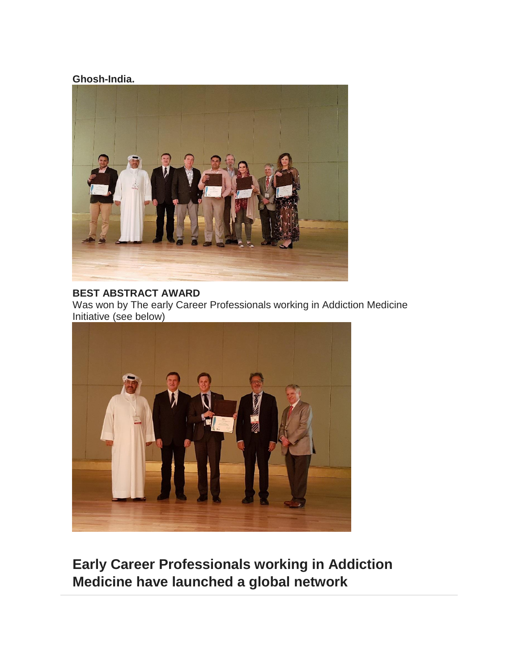#### **Ghosh-India.**



# **BEST ABSTRACT AWARD**

Was won by The early Career Professionals working in Addiction Medicine Initiative (see below)



**Early Career Professionals working in Addiction Medicine have launched a global network**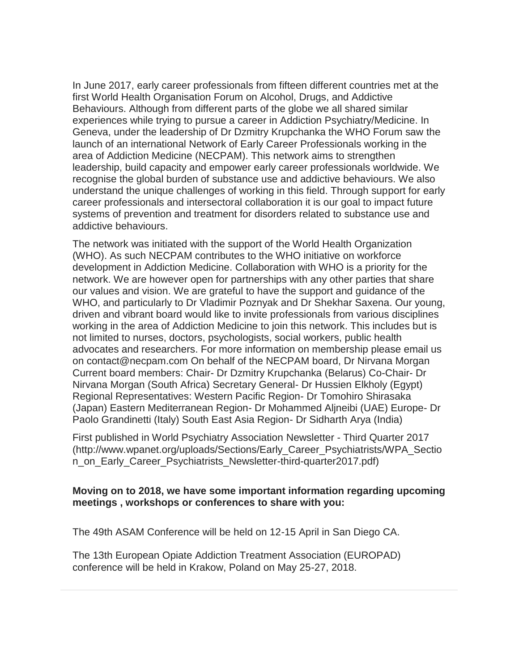In June 2017, early career professionals from fifteen different countries met at the first World Health Organisation Forum on Alcohol, Drugs, and Addictive Behaviours. Although from different parts of the globe we all shared similar experiences while trying to pursue a career in Addiction Psychiatry/Medicine. In Geneva, under the leadership of Dr Dzmitry Krupchanka the WHO Forum saw the launch of an international Network of Early Career Professionals working in the area of Addiction Medicine (NECPAM). This network aims to strengthen leadership, build capacity and empower early career professionals worldwide. We recognise the global burden of substance use and addictive behaviours. We also understand the unique challenges of working in this field. Through support for early career professionals and intersectoral collaboration it is our goal to impact future systems of prevention and treatment for disorders related to substance use and addictive behaviours.

The network was initiated with the support of the World Health Organization (WHO). As such NECPAM contributes to the WHO initiative on workforce development in Addiction Medicine. Collaboration with WHO is a priority for the network. We are however open for partnerships with any other parties that share our values and vision. We are grateful to have the support and guidance of the WHO, and particularly to Dr Vladimir Poznyak and Dr Shekhar Saxena. Our young, driven and vibrant board would like to invite professionals from various disciplines working in the area of Addiction Medicine to join this network. This includes but is not limited to nurses, doctors, psychologists, social workers, public health advocates and researchers. For more information on membership please email us on contact@necpam.com On behalf of the NECPAM board, Dr Nirvana Morgan Current board members: Chair- Dr Dzmitry Krupchanka (Belarus) Co-Chair- Dr Nirvana Morgan (South Africa) Secretary General- Dr Hussien Elkholy (Egypt) Regional Representatives: Western Pacific Region- Dr Tomohiro Shirasaka (Japan) Eastern Mediterranean Region- Dr Mohammed Aljneibi (UAE) Europe- Dr Paolo Grandinetti (Italy) South East Asia Region- Dr Sidharth Arya (India)

First published in World Psychiatry Association Newsletter - Third Quarter 2017 (http://www.wpanet.org/uploads/Sections/Early\_Career\_Psychiatrists/WPA\_Sectio n\_on\_Early\_Career\_Psychiatrists\_Newsletter-third-quarter2017.pdf)

#### **Moving on to 2018, we have some important information regarding upcoming meetings , workshops or conferences to share with you:**

The 49th ASAM Conference will be held on 12-15 April in San Diego CA.

The 13th European Opiate Addiction Treatment Association (EUROPAD) conference will be held in Krakow, Poland on May 25-27, 2018.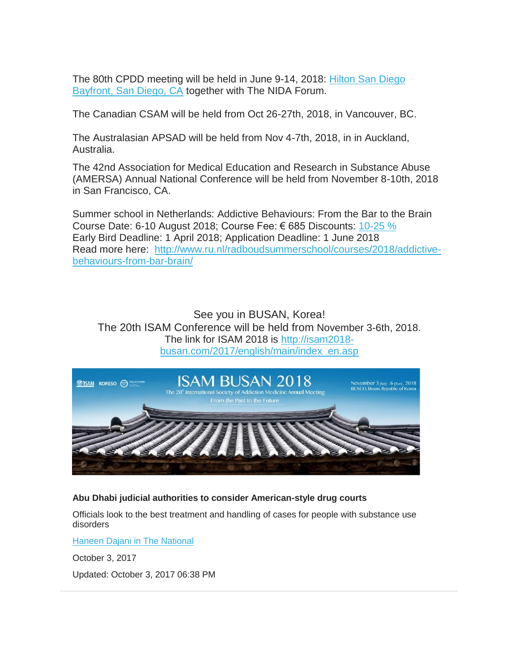The 80th CPDD meeting will be held in June 9-14, 2018: Hilton San Diego [Bayfront, San Diego, CA](http://www3.hilton.com/Official_Site) together with The NIDA Forum.

The Canadian CSAM will be held from Oct 26-27th, 2018, in Vancouver, BC.

The Australasian APSAD will be held from Nov 4-7th, 2018, in in Auckland, Australia.

The 42nd Association for Medical Education and Research in Substance Abuse (AMERSA) Annual National Conference will be held from November 8-10th, 2018 in San Francisco, CA.

Summer school in Netherlands: Addictive Behaviours: From the Bar to the Brain Course Date: 6-10 August 2018; Course Fee:  $\epsilon$  685 Discounts: [10-25 %](http://www.ru.nl/radboudsummerschool/courses/2018/addictive-behaviours-from-bar-brain/#hfad778bd-2918-f159-a3a7-741324e72e5e) Early Bird Deadline: 1 April 2018; Application Deadline: 1 June 2018 Read more here: [http://www.ru.nl/radboudsummerschool/courses/2018/addictive](http://www.ru.nl/radboudsummerschool/courses/2018/addictive-behaviours-from-bar-brain/)[behaviours-from-bar-brain/](http://www.ru.nl/radboudsummerschool/courses/2018/addictive-behaviours-from-bar-brain/)

See you in BUSAN, Korea! The 20th ISAM Conference will be held from November 3-6th, 2018. The link for ISAM 2018 is [http://isam2018](http://isam2018-busan.com/2017/english/main/index_en.asp) [busan.com/2017/english/main/index\\_en.asp](http://isam2018-busan.com/2017/english/main/index_en.asp)



**Abu Dhabi judicial authorities to consider American-style drug courts**

Officials look to the best treatment and handling of cases for people with substance use disorders

[Haneen Dajani in The National](https://www.thenational.ae/topics/Author/Haneen%20Dajani)

October 3, 2017

Updated: October 3, 2017 06:38 PM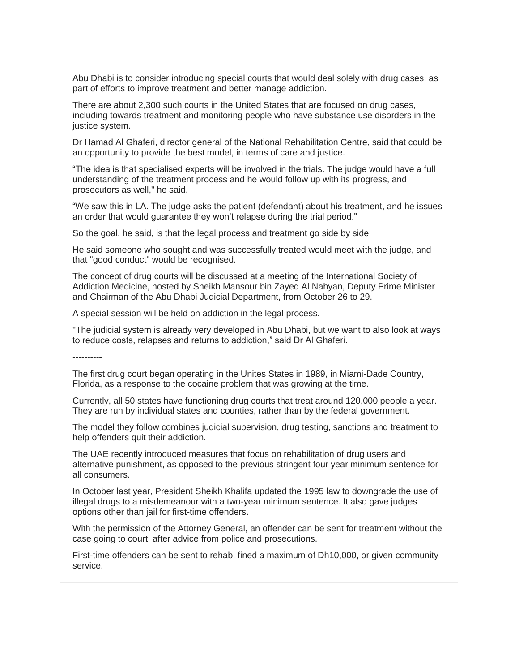Abu Dhabi is to consider introducing special courts that would deal solely with drug cases, as part of efforts to improve treatment and better manage addiction.

There are about 2,300 such courts in the United States that are focused on drug cases, including towards treatment and monitoring people who have substance use disorders in the justice system.

Dr Hamad Al Ghaferi, director general of the National Rehabilitation Centre, said that could be an opportunity to provide the best model, in terms of care and justice.

"The idea is that specialised experts will be involved in the trials. The judge would have a full understanding of the treatment process and he would follow up with its progress, and prosecutors as well," he said.

"We saw this in LA. The judge asks the patient (defendant) about his treatment, and he issues an order that would guarantee they won't relapse during the trial period."

So the goal, he said, is that the legal process and treatment go side by side.

He said someone who sought and was successfully treated would meet with the judge, and that "good conduct" would be recognised.

The concept of drug courts will be discussed at a meeting of the International Society of Addiction Medicine, hosted by Sheikh Mansour bin Zayed Al Nahyan, Deputy Prime Minister and Chairman of the Abu Dhabi Judicial Department, from October 26 to 29.

A special session will be held on addiction in the legal process.

"The judicial system is already very developed in Abu Dhabi, but we want to also look at ways to reduce costs, relapses and returns to addiction," said Dr Al Ghaferi.

----------

The first drug court began operating in the Unites States in 1989, in Miami-Dade Country, Florida, as a response to the cocaine problem that was growing at the time.

Currently, all 50 states have functioning drug courts that treat around 120,000 people a year. They are run by individual states and counties, rather than by the federal government.

The model they follow combines judicial supervision, drug testing, sanctions and treatment to help offenders quit their addiction.

The UAE recently introduced measures that focus on rehabilitation of drug users and alternative punishment, as opposed to the previous stringent four year minimum sentence for all consumers.

In October last year, President Sheikh Khalifa updated the 1995 law to downgrade the use of illegal drugs to a misdemeanour with a two-year minimum sentence. It also gave judges options other than jail for first-time offenders.

With the permission of the Attorney General, an offender can be sent for treatment without the case going to court, after advice from police and prosecutions.

First-time offenders can be sent to rehab, fined a maximum of Dh10,000, or given community service.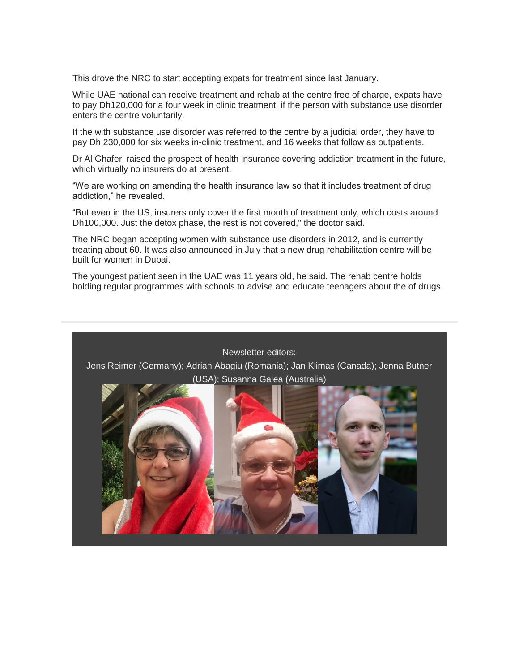This drove the NRC to start accepting expats for treatment since last January.

While UAE national can receive treatment and rehab at the centre free of charge, expats have to pay Dh120,000 for a four week in clinic treatment, if the person with substance use disorder enters the centre voluntarily.

If the with substance use disorder was referred to the centre by a judicial order, they have to pay Dh 230,000 for six weeks in-clinic treatment, and 16 weeks that follow as outpatients.

Dr Al Ghaferi raised the prospect of health insurance covering addiction treatment in the future, which virtually no insurers do at present.

"We are working on amending the health insurance law so that it includes treatment of drug addiction," he revealed.

"But even in the US, insurers only cover the first month of treatment only, which costs around Dh100,000. Just the detox phase, the rest is not covered," the doctor said.

The NRC began accepting women with substance use disorders in 2012, and is currently treating about 60. It was also announced in July that a new drug rehabilitation centre will be built for women in Dubai.

The youngest patient seen in the UAE was 11 years old, he said. The rehab centre holds holding regular programmes with schools to advise and educate teenagers about the of drugs.